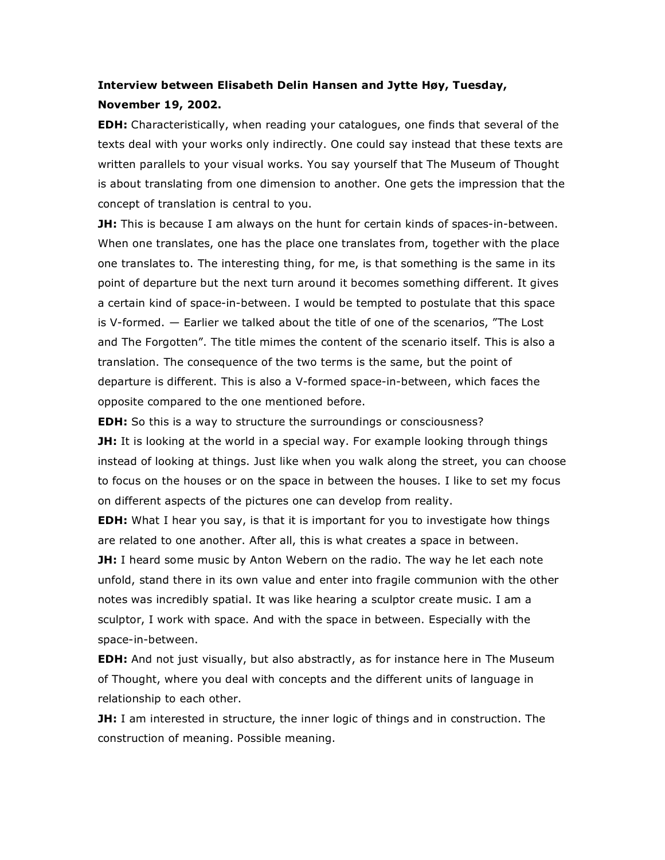## **Interview between Elisabeth Delin Hansen and Jytte Høy, Tuesday,**

## **November 19, 2002.**

**EDH:** Characteristically, when reading your catalogues, one finds that several of the texts deal with your works only indirectly. One could say instead that these texts are written parallels to your visual works. You say yourself that The Museum of Thought is about translating from one dimension to another. One gets the impression that the concept of translation is central to you.

**JH:** This is because I am always on the hunt for certain kinds of spaces-in-between. When one translates, one has the place one translates from, together with the place one translates to. The interesting thing, for me, is that something is the same in its point of departure but the next turn around it becomes something different. It gives a certain kind of space-in-between. I would be tempted to postulate that this space is V-formed. — Earlier we talked about the title of one of the scenarios, "The Lost and The Forgotten". The title mimes the content of the scenario itself. This is also a translation. The consequence of the two terms is the same, but the point of departure is different. This is also a V-formed space-in-between, which faces the opposite compared to the one mentioned before.

**EDH:** So this is a way to structure the surroundings or consciousness? **JH:** It is looking at the world in a special way. For example looking through things instead of looking at things. Just like when you walk along the street, you can choose to focus on the houses or on the space in between the houses. I like to set my focus on different aspects of the pictures one can develop from reality.

**EDH:** What I hear you say, is that it is important for you to investigate how things are related to one another. After all, this is what creates a space in between.

**JH:** I heard some music by Anton Webern on the radio. The way he let each note unfold, stand there in its own value and enter into fragile communion with the other notes was incredibly spatial. It was like hearing a sculptor create music. I am a sculptor, I work with space. And with the space in between. Especially with the space-in-between.

**EDH:** And not just visually, but also abstractly, as for instance here in The Museum of Thought, where you deal with concepts and the different units of language in relationship to each other.

**JH:** I am interested in structure, the inner logic of things and in construction. The construction of meaning. Possible meaning.